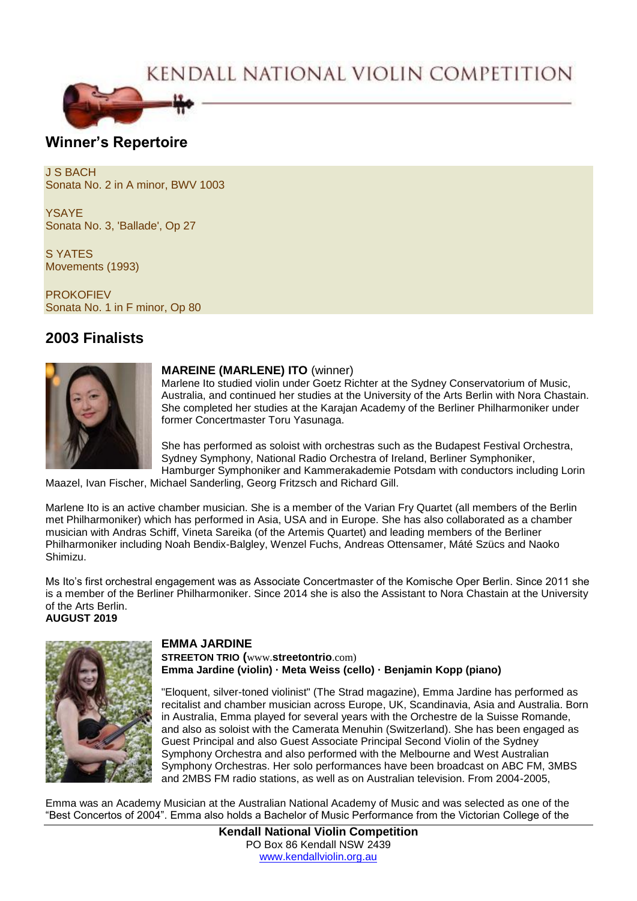# KENDALL NATIONAL VIOLIN COMPETITION



### **Winner's Repertoire**

J S BACH Sonata No. 2 in A minor, BWV 1003

YSAYE Sonata No. 3, 'Ballade', Op 27

S YATES Movements (1993)

**PROKOFIEV** Sonata No. 1 in F minor, Op 80

## **2003 Finalists**



#### **MAREINE (MARLENE) ITO** (winner)

Marlene Ito studied violin under Goetz Richter at the Sydney Conservatorium of Music, Australia, and continued her studies at the University of the Arts Berlin with Nora Chastain. She completed her studies at the Karajan Academy of the Berliner Philharmoniker under former Concertmaster Toru Yasunaga.

She has performed as soloist with orchestras such as the Budapest Festival Orchestra, Sydney Symphony, National Radio Orchestra of Ireland, Berliner Symphoniker, Hamburger Symphoniker and Kammerakademie Potsdam with conductors including Lorin

Maazel, Ivan Fischer, Michael Sanderling, Georg Fritzsch and Richard Gill.

Marlene Ito is an active chamber musician. She is a member of the Varian Fry Quartet (all members of the Berlin met Philharmoniker) which has performed in Asia, USA and in Europe. She has also collaborated as a chamber musician with Andras Schiff, Vineta Sareika (of the Artemis Quartet) and leading members of the Berliner Philharmoniker including Noah Bendix-Balgley, Wenzel Fuchs, Andreas Ottensamer, Máté Szücs and Naoko Shimizu.

Ms Ito's first orchestral engagement was as Associate Concertmaster of the Komische Oper Berlin. Since 2011 she is a member of the Berliner Philharmoniker. Since 2014 she is also the Assistant to Nora Chastain at the University of the Arts Berlin. **AUGUST 2019**



#### **EMMA JARDINE**

**STREETON TRIO (**www.**streetontrio**.com) **Emma Jardine (violin) · Meta Weiss (cello) · Benjamin Kopp (piano)**

"Eloquent, silver-toned violinist" (The Strad magazine), Emma Jardine has performed as recitalist and chamber musician across Europe, UK, Scandinavia, Asia and Australia. Born in Australia, Emma played for several years with the Orchestre de la Suisse Romande, and also as soloist with the Camerata Menuhin (Switzerland). She has been engaged as Guest Principal and also Guest Associate Principal Second Violin of the Sydney Symphony Orchestra and also performed with the Melbourne and West Australian Symphony Orchestras. Her solo performances have been broadcast on ABC FM, 3MBS and 2MBS FM radio stations, as well as on Australian television. From 2004-2005,

Emma was an Academy Musician at the Australian National Academy of Music and was selected as one of the "Best Concertos of 2004". Emma also holds a Bachelor of Music Performance from the Victorian College of the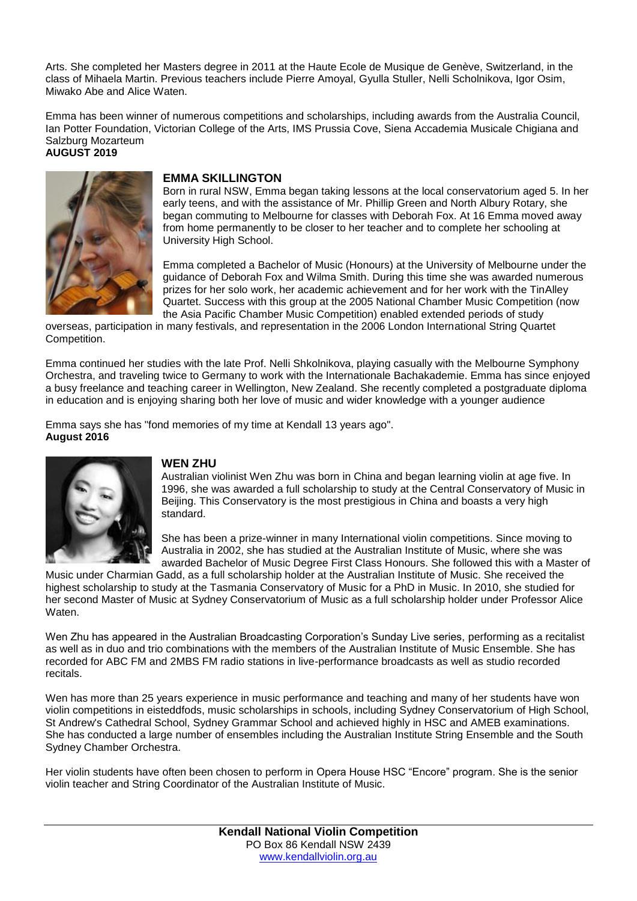Arts. She completed her Masters degree in 2011 at the Haute Ecole de Musique de Genève, Switzerland, in the class of Mihaela Martin. Previous teachers include Pierre Amoyal, Gyulla Stuller, Nelli Scholnikova, Igor Osim, Miwako Abe and Alice Waten.

Emma has been winner of numerous competitions and scholarships, including awards from the Australia Council, Ian Potter Foundation, Victorian College of the Arts, IMS Prussia Cove, Siena Accademia Musicale Chigiana and Salzburg Mozarteum **AUGUST 2019**



#### **EMMA SKILLINGTON**

Born in rural NSW, Emma began taking lessons at the local conservatorium aged 5. In her early teens, and with the assistance of Mr. Phillip Green and North Albury Rotary, she began commuting to Melbourne for classes with Deborah Fox. At 16 Emma moved away from home permanently to be closer to her teacher and to complete her schooling at University High School.

Emma completed a Bachelor of Music (Honours) at the University of Melbourne under the guidance of Deborah Fox and Wilma Smith. During this time she was awarded numerous prizes for her solo work, her academic achievement and for her work with the TinAlley Quartet. Success with this group at the 2005 National Chamber Music Competition (now the Asia Pacific Chamber Music Competition) enabled extended periods of study

overseas, participation in many festivals, and representation in the 2006 London International String Quartet Competition.

Emma continued her studies with the late Prof. Nelli Shkolnikova, playing casually with the Melbourne Symphony Orchestra, and traveling twice to Germany to work with the Internationale Bachakademie. Emma has since enjoyed a busy freelance and teaching career in Wellington, New Zealand. She recently completed a postgraduate diploma in education and is enjoying sharing both her love of music and wider knowledge with a younger audience

Emma says she has "fond memories of my time at Kendall 13 years ago". **August 2016** 



#### **WEN ZHU**

Australian violinist Wen Zhu was born in China and began learning violin at age five. In 1996, she was awarded a full scholarship to study at the Central Conservatory of Music in Beijing. This Conservatory is the most prestigious in China and boasts a very high standard.

She has been a prize-winner in many International violin competitions. Since moving to Australia in 2002, she has studied at the Australian Institute of Music, where she was awarded Bachelor of Music Degree First Class Honours. She followed this with a Master of

Music under Charmian Gadd, as a full scholarship holder at the Australian Institute of Music. She received the highest scholarship to study at the Tasmania Conservatory of Music for a PhD in Music. In 2010, she studied for her second Master of Music at Sydney Conservatorium of Music as a full scholarship holder under Professor Alice Waten.

Wen Zhu has appeared in the Australian Broadcasting Corporation's Sunday Live series, performing as a recitalist as well as in duo and trio combinations with the members of the Australian Institute of Music Ensemble. She has recorded for ABC FM and 2MBS FM radio stations in live-performance broadcasts as well as studio recorded recitals.

Wen has more than 25 years experience in music performance and teaching and many of her students have won violin competitions in eisteddfods, music scholarships in schools, including Sydney Conservatorium of High School, St Andrew's Cathedral School, Sydney Grammar School and achieved highly in HSC and AMEB examinations. She has conducted a large number of ensembles including the Australian Institute String Ensemble and the South Sydney Chamber Orchestra.

Her violin students have often been chosen to perform in Opera House HSC "Encore" program. She is the senior violin teacher and String Coordinator of the Australian Institute of Music.